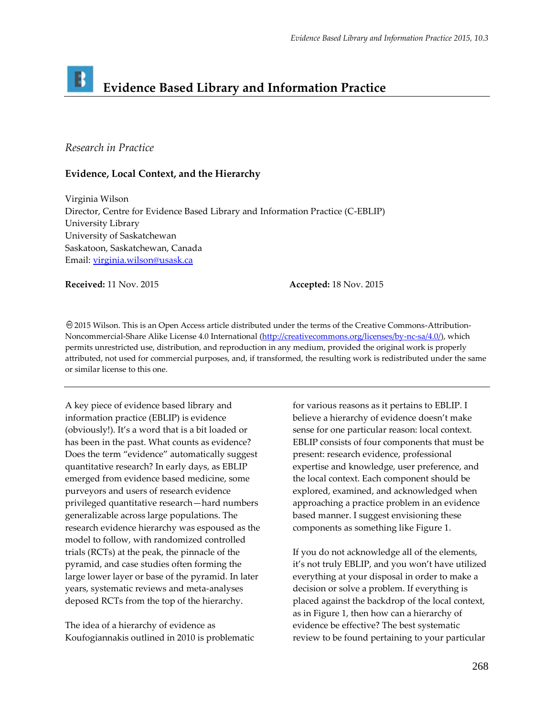## B **Evidence Based Library and Information Practice**

## *Research in Practice*

## **Evidence, Local Context, and the Hierarchy**

Virginia Wilson Director, Centre for Evidence Based Library and Information Practice (C-EBLIP) University Library University of Saskatchewan Saskatoon, Saskatchewan, Canada Email: [virginia.wilson@usask.ca](mailto:virginia.wilson@usask.ca)

**Received:** 11 Nov. 2015 **Accepted:** 18 Nov. 2015

2015 Wilson. This is an Open Access article distributed under the terms of the Creative Commons-Attribution-Noncommercial-Share Alike License 4.0 International [\(http://creativecommons.org/licenses/by-nc-sa/4.0/\)](http://creativecommons.org/licenses/by-nc-sa/4.0/), which permits unrestricted use, distribution, and reproduction in any medium, provided the original work is properly attributed, not used for commercial purposes, and, if transformed, the resulting work is redistributed under the same or similar license to this one.

A key piece of evidence based library and information practice (EBLIP) is evidence (obviously!). It's a word that is a bit loaded or has been in the past. What counts as evidence? Does the term "evidence" automatically suggest quantitative research? In early days, as EBLIP emerged from evidence based medicine, some purveyors and users of research evidence privileged quantitative research—hard numbers generalizable across large populations. The research evidence hierarchy was espoused as the model to follow, with randomized controlled trials (RCTs) at the peak, the pinnacle of the pyramid, and case studies often forming the large lower layer or base of the pyramid. In later years, systematic reviews and meta-analyses deposed RCTs from the top of the hierarchy.

The idea of a hierarchy of evidence as Koufogiannakis outlined in 2010 is problematic

for various reasons as it pertains to EBLIP. I believe a hierarchy of evidence doesn't make sense for one particular reason: local context. EBLIP consists of four components that must be present: research evidence, professional expertise and knowledge, user preference, and the local context. Each component should be explored, examined, and acknowledged when approaching a practice problem in an evidence based manner. I suggest envisioning these components as something like Figure 1.

If you do not acknowledge all of the elements, it's not truly EBLIP, and you won't have utilized everything at your disposal in order to make a decision or solve a problem. If everything is placed against the backdrop of the local context, as in Figure 1, then how can a hierarchy of evidence be effective? The best systematic review to be found pertaining to your particular